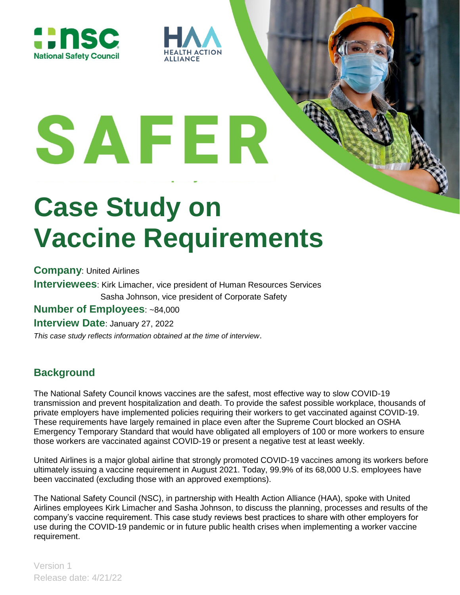



# **Case Study on Vaccine Requirements**

**ACTION** 

**Company**: United Airlines **Interviewees**: Kirk Limacher, vice president of Human Resources Services Sasha Johnson, vice president of Corporate Safety **Number of Employees**: ~84,000 **Interview Date**: January 27, 2022

*This case study reflects information obtained at the time of interview*.

# **Background**

The National Safety Council knows vaccines are the safest, most effective way to slow COVID-19 transmission and prevent hospitalization and death. To provide the safest possible workplace, thousands of private employers have implemented policies requiring their workers to get vaccinated against COVID-19. These requirements have largely remained in place even after the Supreme Court blocked an OSHA Emergency Temporary Standard that would have obligated all employers of 100 or more workers to ensure those workers are vaccinated against COVID-19 or present a negative test at least weekly.

United Airlines is a major global airline that strongly promoted COVID-19 vaccines among its workers before ultimately issuing a vaccine requirement in August 2021. Today, 99.9% of its 68,000 U.S. employees have been vaccinated (excluding those with an approved exemptions).

The National Safety Council (NSC), in partnership with Health Action Alliance (HAA), spoke with United Airlines employees Kirk Limacher and Sasha Johnson, to discuss the planning, processes and results of the company's vaccine requirement. This case study reviews best practices to share with other employers for use during the COVID-19 pandemic or in future public health crises when implementing a worker vaccine requirement.

Version 1 Release date: 4/21/22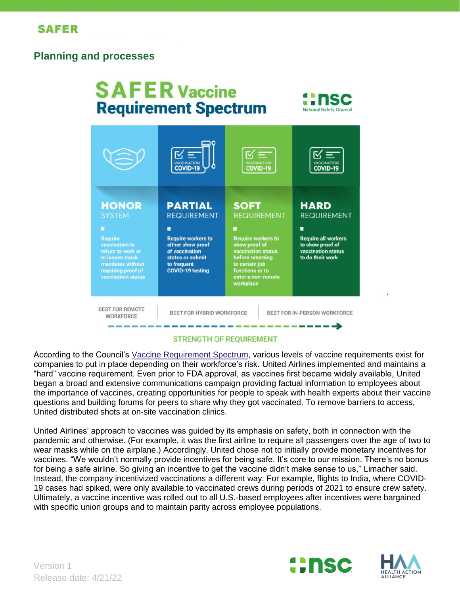#### **Planning and processes**

#### **SAFER Vaccine** ūΤ **Requirement Spectrum** National Safety Council COVID-19 COVID-19 COVID-19 **HONOR PARTIAL SOFT HARD**

**REQUIREMENT** 

**Require workers to** 

either show proof

of vaccination

to frequent

status or submit

**COVID-19 testing** 

п

**BEST FOR REMOTE WORKFORCE** 

state and state them were the first and

**Require** 

vaccination to

mandates without

requiring proof of<br>vaccination status

BEST FOR HYBRID WORKFORCE

BEST FOR IN-PERSON WORKFORCE

-------

**REQUIREMENT** 

**Require all workers** 

to show proof of

to do their work

vaccination status

#### **STRENGTH OF REQUIREMENT**

**REQUIREMENT** 

Require workers to<br>show proof of

vaccination status<br>before returning

to certain job

functions or to<br>enter a non-rem

workplace

According to the Council's [Vaccine Requirement Spectrum,](https://www.nsc.org/getmedia/4ef40021-5d27-4016-a770-06a16033f4ad/safer-spectrum-of-vaccine-requirements-infographic.pdf) various levels of vaccine requirements exist for companies to put in place depending on their workforce's risk. United Airlines implemented and maintains a "hard" vaccine requirement. Even prior to FDA approval, as vaccines first became widely available, United began a broad and extensive communications campaign providing factual information to employees about the importance of vaccines, creating opportunities for people to speak with health experts about their vaccine questions and building forums for peers to share why they got vaccinated. To remove barriers to access, United distributed shots at on-site vaccination clinics.

United Airlines' approach to vaccines was guided by its emphasis on safety, both in connection with the pandemic and otherwise. (For example, it was the first airline to require all passengers over the age of two to wear masks while on the airplane.) Accordingly, United chose not to initially provide monetary incentives for vaccines. "We wouldn't normally provide incentives for being safe. It's core to our mission. There's no bonus for being a safe airline. So giving an incentive to get the vaccine didn't make sense to us," Limacher said. Instead, the company incentivized vaccinations a different way. For example, flights to India, where COVID-19 cases had spiked, were only available to vaccinated crews during periods of 2021 to ensure crew safety. Ultimately, a vaccine incentive was rolled out to all U.S.-based employees after incentives were bargained with specific union groups and to maintain parity across employee populations.



Version 1 Release date: 4/21/22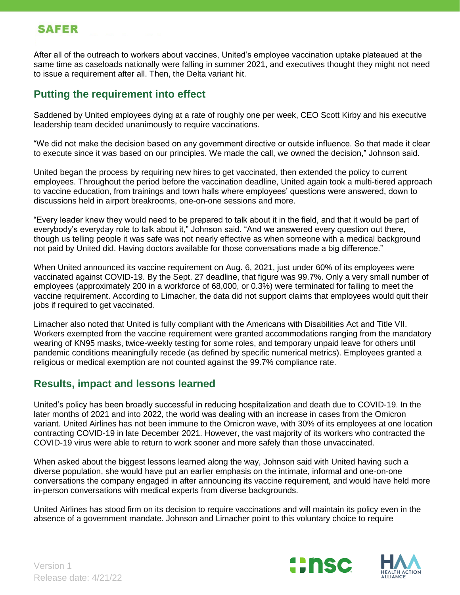### **SAFER**

After all of the outreach to workers about vaccines, United's employee vaccination uptake plateaued at the same time as caseloads nationally were falling in summer 2021, and executives thought they might not need to issue a requirement after all. Then, the Delta variant hit.

### **Putting the requirement into effect**

Saddened by United employees dying at a rate of roughly one per week, CEO Scott Kirby and his executive leadership team decided unanimously to require vaccinations.

"We did not make the decision based on any government directive or outside influence. So that made it clear to execute since it was based on our principles. We made the call, we owned the decision," Johnson said.

United began the process by requiring new hires to get vaccinated, then extended the policy to current employees. Throughout the period before the vaccination deadline, United again took a multi-tiered approach to vaccine education, from trainings and town halls where employees' questions were answered, down to discussions held in airport breakrooms, one-on-one sessions and more.

"Every leader knew they would need to be prepared to talk about it in the field, and that it would be part of everybody's everyday role to talk about it," Johnson said. "And we answered every question out there, though us telling people it was safe was not nearly effective as when someone with a medical background not paid by United did. Having doctors available for those conversations made a big difference."

When United announced its vaccine requirement on Aug. 6, 2021, just under 60% of its employees were vaccinated against COVID-19. By the Sept. 27 deadline, that figure was 99.7%. Only a very small number of employees (approximately 200 in a workforce of 68,000, or 0.3%) were terminated for failing to meet the vaccine requirement. According to Limacher, the data did not support claims that employees would quit their jobs if required to get vaccinated.

Limacher also noted that United is fully compliant with the Americans with Disabilities Act and Title VII. Workers exempted from the vaccine requirement were granted accommodations ranging from the mandatory wearing of KN95 masks, twice-weekly testing for some roles, and temporary unpaid leave for others until pandemic conditions meaningfully recede (as defined by specific numerical metrics). Employees granted a religious or medical exemption are not counted against the 99.7% compliance rate.

#### **Results, impact and lessons learned**

United's policy has been broadly successful in reducing hospitalization and death due to COVID-19. In the later months of 2021 and into 2022, the world was dealing with an increase in cases from the Omicron variant. United Airlines has not been immune to the Omicron wave, with 30% of its employees at one location contracting COVID-19 in late December 2021. However, the vast majority of its workers who contracted the COVID-19 virus were able to return to work sooner and more safely than those unvaccinated.

When asked about the biggest lessons learned along the way, Johnson said with United having such a diverse population, she would have put an earlier emphasis on the intimate, informal and one-on-one conversations the company engaged in after announcing its vaccine requirement, and would have held more in-person conversations with medical experts from diverse backgrounds.

United Airlines has stood firm on its decision to require vaccinations and will maintain its policy even in the absence of a government mandate. Johnson and Limacher point to this voluntary choice to require